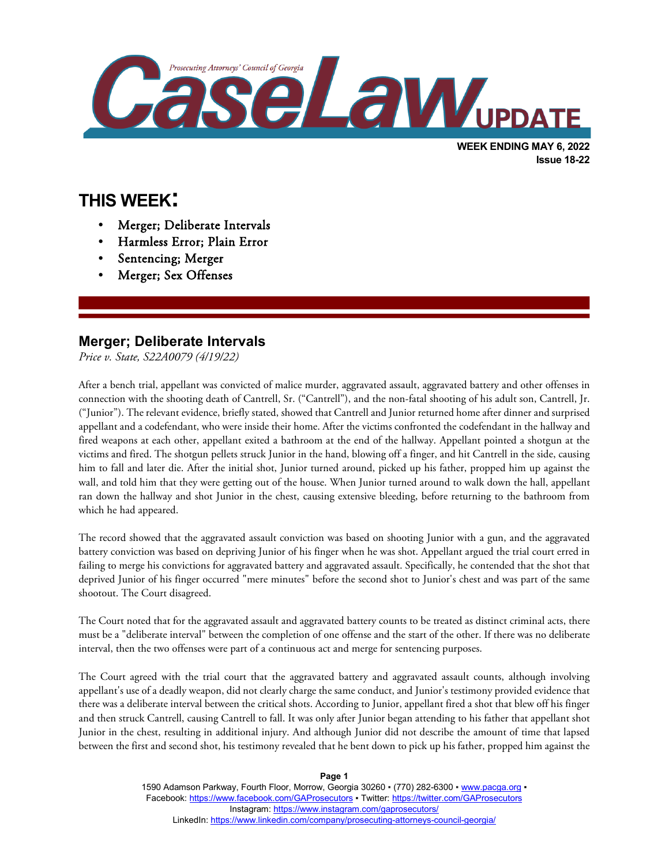

**WEEK ENDING MAY 6, 2022 Issue 18-22**

# **THIS WEEK:**

l

- Merger; Deliberate Intervals
- Harmless Error; Plain Error
- Sentencing; Merger
- Merger; Sex Offenses

#### **Merger; Deliberate Intervals**

*Price v. State, S22A0079 (4/19/22)*

After a bench trial, appellant was convicted of malice murder, aggravated assault, aggravated battery and other offenses in connection with the shooting death of Cantrell, Sr. ("Cantrell"), and the non-fatal shooting of his adult son, Cantrell, Jr. ("Junior"). The relevant evidence, briefly stated, showed that Cantrell and Junior returned home after dinner and surprised appellant and a codefendant, who were inside their home. After the victims confronted the codefendant in the hallway and fired weapons at each other, appellant exited a bathroom at the end of the hallway. Appellant pointed a shotgun at the victims and fired. The shotgun pellets struck Junior in the hand, blowing off a finger, and hit Cantrell in the side, causing him to fall and later die. After the initial shot, Junior turned around, picked up his father, propped him up against the wall, and told him that they were getting out of the house. When Junior turned around to walk down the hall, appellant ran down the hallway and shot Junior in the chest, causing extensive bleeding, before returning to the bathroom from which he had appeared.

The record showed that the aggravated assault conviction was based on shooting Junior with a gun, and the aggravated battery conviction was based on depriving Junior of his finger when he was shot. Appellant argued the trial court erred in failing to merge his convictions for aggravated battery and aggravated assault. Specifically, he contended that the shot that deprived Junior of his finger occurred "mere minutes" before the second shot to Junior's chest and was part of the same shootout. The Court disagreed.

The Court noted that for the aggravated assault and aggravated battery counts to be treated as distinct criminal acts, there must be a "deliberate interval" between the completion of one offense and the start of the other. If there was no deliberate interval, then the two offenses were part of a continuous act and merge for sentencing purposes.

The Court agreed with the trial court that the aggravated battery and aggravated assault counts, although involving appellant's use of a deadly weapon, did not clearly charge the same conduct, and Junior's testimony provided evidence that there was a deliberate interval between the critical shots. According to Junior, appellant fired a shot that blew off his finger and then struck Cantrell, causing Cantrell to fall. It was only after Junior began attending to his father that appellant shot Junior in the chest, resulting in additional injury. And although Junior did not describe the amount of time that lapsed between the first and second shot, his testimony revealed that he bent down to pick up his father, propped him against the

> 1590 Adamson Parkway, Fourth Floor, Morrow, Georgia 30260 · (770) 282-6300 · [www.pacga.org](http://www.pacga.org/) · Facebook[: https://www.facebook.com/GAProsecutors](https://www.facebook.com/GAProsecutors) ▪ Twitter:<https://twitter.com/GAProsecutors> Instagram[: https://www.instagram.com/gaprosecutors/](https://www.instagram.com/gaprosecutors/) LinkedIn:<https://www.linkedin.com/company/prosecuting-attorneys-council-georgia/>

**Page 1**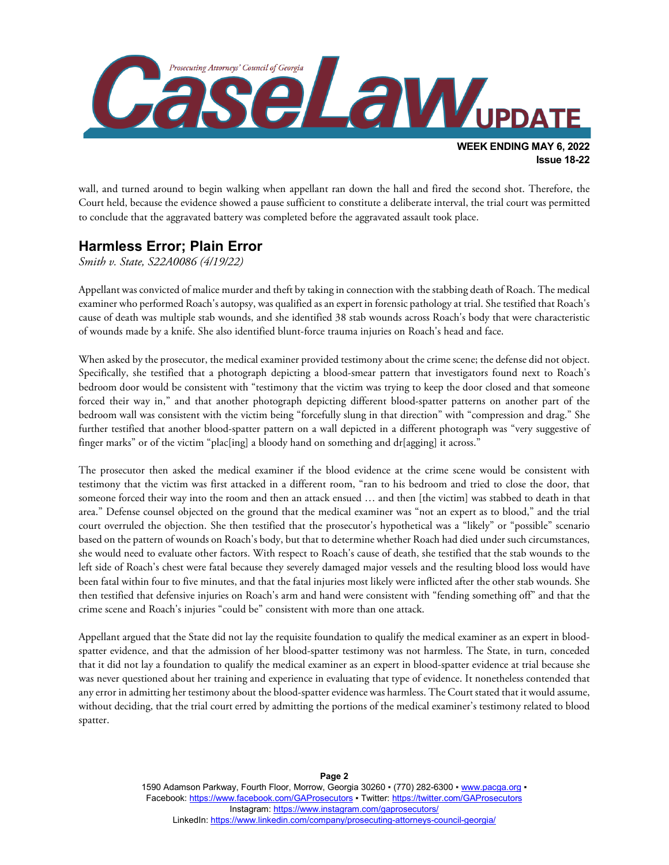

wall, and turned around to begin walking when appellant ran down the hall and fired the second shot. Therefore, the Court held, because the evidence showed a pause sufficient to constitute a deliberate interval, the trial court was permitted to conclude that the aggravated battery was completed before the aggravated assault took place.

## **Harmless Error; Plain Error**

*Smith v. State, S22A0086 (4/19/22)*

Appellant was convicted of malice murder and theft by taking in connection with the stabbing death of Roach. The medical examiner who performed Roach's autopsy, was qualified as an expert in forensic pathology at trial. She testified that Roach's cause of death was multiple stab wounds, and she identified 38 stab wounds across Roach's body that were characteristic of wounds made by a knife. She also identified blunt-force trauma injuries on Roach's head and face.

When asked by the prosecutor, the medical examiner provided testimony about the crime scene; the defense did not object. Specifically, she testified that a photograph depicting a blood-smear pattern that investigators found next to Roach's bedroom door would be consistent with "testimony that the victim was trying to keep the door closed and that someone forced their way in," and that another photograph depicting different blood-spatter patterns on another part of the bedroom wall was consistent with the victim being "forcefully slung in that direction" with "compression and drag." She further testified that another blood-spatter pattern on a wall depicted in a different photograph was "very suggestive of finger marks" or of the victim "plac[ing] a bloody hand on something and dr[agging] it across."

The prosecutor then asked the medical examiner if the blood evidence at the crime scene would be consistent with testimony that the victim was first attacked in a different room, "ran to his bedroom and tried to close the door, that someone forced their way into the room and then an attack ensued … and then [the victim] was stabbed to death in that area." Defense counsel objected on the ground that the medical examiner was "not an expert as to blood," and the trial court overruled the objection. She then testified that the prosecutor's hypothetical was a "likely" or "possible" scenario based on the pattern of wounds on Roach's body, but that to determine whether Roach had died under such circumstances, she would need to evaluate other factors. With respect to Roach's cause of death, she testified that the stab wounds to the left side of Roach's chest were fatal because they severely damaged major vessels and the resulting blood loss would have been fatal within four to five minutes, and that the fatal injuries most likely were inflicted after the other stab wounds. She then testified that defensive injuries on Roach's arm and hand were consistent with "fending something off" and that the crime scene and Roach's injuries "could be" consistent with more than one attack.

Appellant argued that the State did not lay the requisite foundation to qualify the medical examiner as an expert in bloodspatter evidence, and that the admission of her blood-spatter testimony was not harmless. The State, in turn, conceded that it did not lay a foundation to qualify the medical examiner as an expert in blood-spatter evidence at trial because she was never questioned about her training and experience in evaluating that type of evidence. It nonetheless contended that any error in admitting her testimony about the blood-spatter evidence was harmless. The Court stated that it would assume, without deciding, that the trial court erred by admitting the portions of the medical examiner's testimony related to blood spatter.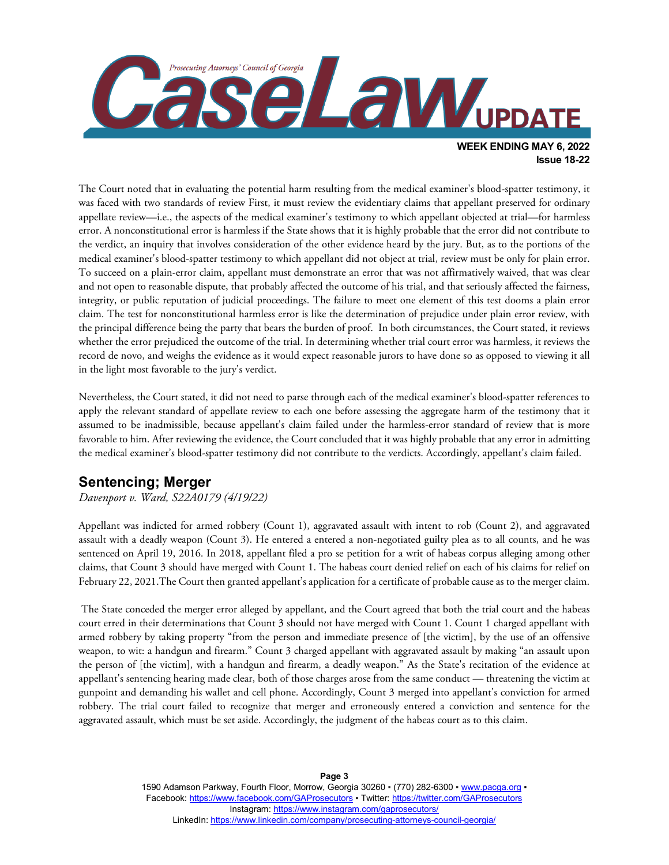

The Court noted that in evaluating the potential harm resulting from the medical examiner's blood-spatter testimony, it was faced with two standards of review First, it must review the evidentiary claims that appellant preserved for ordinary appellate review—i.e., the aspects of the medical examiner's testimony to which appellant objected at trial—for harmless error. A nonconstitutional error is harmless if the State shows that it is highly probable that the error did not contribute to the verdict, an inquiry that involves consideration of the other evidence heard by the jury. But, as to the portions of the medical examiner's blood-spatter testimony to which appellant did not object at trial, review must be only for plain error. To succeed on a plain-error claim, appellant must demonstrate an error that was not affirmatively waived, that was clear and not open to reasonable dispute, that probably affected the outcome of his trial, and that seriously affected the fairness, integrity, or public reputation of judicial proceedings. The failure to meet one element of this test dooms a plain error claim. The test for nonconstitutional harmless error is like the determination of prejudice under plain error review, with the principal difference being the party that bears the burden of proof. In both circumstances, the Court stated, it reviews whether the error prejudiced the outcome of the trial. In determining whether trial court error was harmless, it reviews the record de novo, and weighs the evidence as it would expect reasonable jurors to have done so as opposed to viewing it all in the light most favorable to the jury's verdict.

Nevertheless, the Court stated, it did not need to parse through each of the medical examiner's blood-spatter references to apply the relevant standard of appellate review to each one before assessing the aggregate harm of the testimony that it assumed to be inadmissible, because appellant's claim failed under the harmless-error standard of review that is more favorable to him. After reviewing the evidence, the Court concluded that it was highly probable that any error in admitting the medical examiner's blood-spatter testimony did not contribute to the verdicts. Accordingly, appellant's claim failed.

### **Sentencing; Merger**

*Davenport v. Ward, S22A0179 (4/19/22)*

Appellant was indicted for armed robbery (Count 1), aggravated assault with intent to rob (Count 2), and aggravated assault with a deadly weapon (Count 3). He entered a entered a non-negotiated guilty plea as to all counts, and he was sentenced on April 19, 2016. In 2018, appellant filed a pro se petition for a writ of habeas corpus alleging among other claims, that Count 3 should have merged with Count 1. The habeas court denied relief on each of his claims for relief on February 22, 2021.The Court then granted appellant's application for a certificate of probable cause as to the merger claim.

The State conceded the merger error alleged by appellant, and the Court agreed that both the trial court and the habeas court erred in their determinations that Count 3 should not have merged with Count 1. Count 1 charged appellant with armed robbery by taking property "from the person and immediate presence of [the victim], by the use of an offensive weapon, to wit: a handgun and firearm." Count 3 charged appellant with aggravated assault by making "an assault upon the person of [the victim], with a handgun and firearm, a deadly weapon." As the State's recitation of the evidence at appellant's sentencing hearing made clear, both of those charges arose from the same conduct — threatening the victim at gunpoint and demanding his wallet and cell phone. Accordingly, Count 3 merged into appellant's conviction for armed robbery. The trial court failed to recognize that merger and erroneously entered a conviction and sentence for the aggravated assault, which must be set aside. Accordingly, the judgment of the habeas court as to this claim.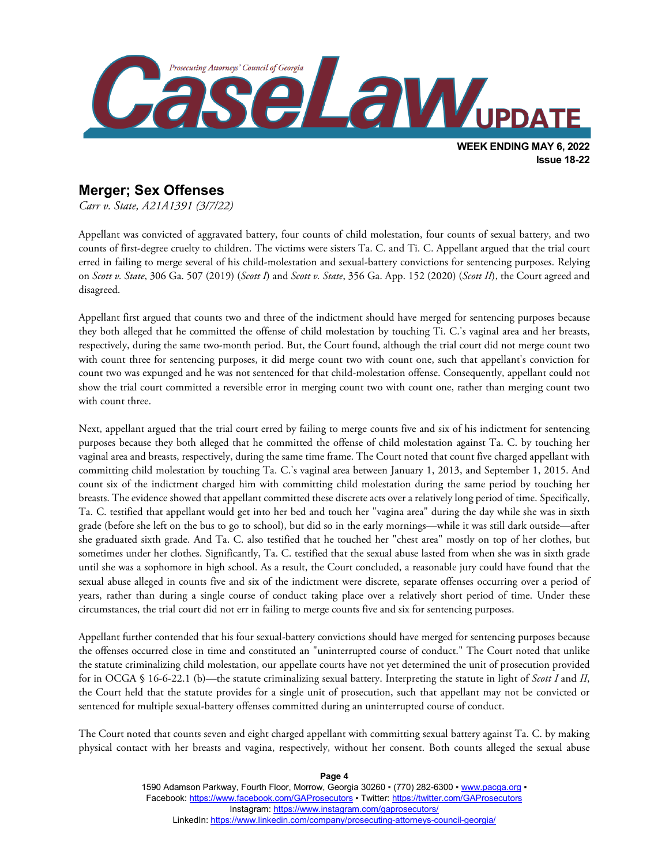

### **Merger; Sex Offenses**

*Carr v. State, A21A1391 (3/7/22)*

Appellant was convicted of aggravated battery, four counts of child molestation, four counts of sexual battery, and two counts of first-degree cruelty to children. The victims were sisters Ta. C. and Ti. C. Appellant argued that the trial court erred in failing to merge several of his child-molestation and sexual-battery convictions for sentencing purposes. Relying on *Scott v. State*, 306 Ga. 507 (2019) (*Scott I*) and *Scott v. State*, 356 Ga. App. 152 (2020) (*Scott II*), the Court agreed and disagreed.

Appellant first argued that counts two and three of the indictment should have merged for sentencing purposes because they both alleged that he committed the offense of child molestation by touching Ti. C.'s vaginal area and her breasts, respectively, during the same two-month period. But, the Court found, although the trial court did not merge count two with count three for sentencing purposes, it did merge count two with count one, such that appellant's conviction for count two was expunged and he was not sentenced for that child-molestation offense. Consequently, appellant could not show the trial court committed a reversible error in merging count two with count one, rather than merging count two with count three.

Next, appellant argued that the trial court erred by failing to merge counts five and six of his indictment for sentencing purposes because they both alleged that he committed the offense of child molestation against Ta. C. by touching her vaginal area and breasts, respectively, during the same time frame. The Court noted that count five charged appellant with committing child molestation by touching Ta. C.'s vaginal area between January 1, 2013, and September 1, 2015. And count six of the indictment charged him with committing child molestation during the same period by touching her breasts. The evidence showed that appellant committed these discrete acts over a relatively long period of time. Specifically, Ta. C. testified that appellant would get into her bed and touch her "vagina area" during the day while she was in sixth grade (before she left on the bus to go to school), but did so in the early mornings—while it was still dark outside—after she graduated sixth grade. And Ta. C. also testified that he touched her "chest area" mostly on top of her clothes, but sometimes under her clothes. Significantly, Ta. C. testified that the sexual abuse lasted from when she was in sixth grade until she was a sophomore in high school. As a result, the Court concluded, a reasonable jury could have found that the sexual abuse alleged in counts five and six of the indictment were discrete, separate offenses occurring over a period of years, rather than during a single course of conduct taking place over a relatively short period of time. Under these circumstances, the trial court did not err in failing to merge counts five and six for sentencing purposes.

Appellant further contended that his four sexual-battery convictions should have merged for sentencing purposes because the offenses occurred close in time and constituted an "uninterrupted course of conduct." The Court noted that unlike the statute criminalizing child molestation, our appellate courts have not yet determined the unit of prosecution provided for in OCGA § 16-6-22.1 (b)—the statute criminalizing sexual battery. Interpreting the statute in light of *Scott I* and *II*, the Court held that the statute provides for a single unit of prosecution, such that appellant may not be convicted or sentenced for multiple sexual-battery offenses committed during an uninterrupted course of conduct.

The Court noted that counts seven and eight charged appellant with committing sexual battery against Ta. C. by making physical contact with her breasts and vagina, respectively, without her consent. Both counts alleged the sexual abuse